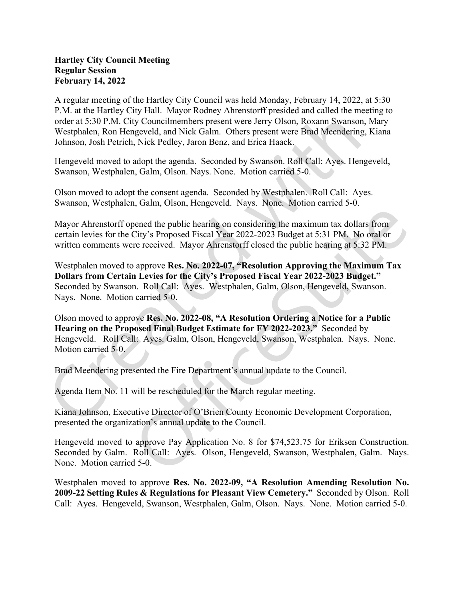## Hartley City Council Meeting Regular Session February 14, 2022

A regular meeting of the Hartley City Council was held Monday, February 14, 2022, at 5:30 P.M. at the Hartley City Hall. Mayor Rodney Ahrenstorff presided and called the meeting to order at 5:30 P.M. City Councilmembers present were Jerry Olson, Roxann Swanson, Mary Westphalen, Ron Hengeveld, and Nick Galm. Others present were Brad Meendering, Kiana Johnson, Josh Petrich, Nick Pedley, Jaron Benz, and Erica Haack.

Hengeveld moved to adopt the agenda. Seconded by Swanson. Roll Call: Ayes. Hengeveld, Swanson, Westphalen, Galm, Olson. Nays. None. Motion carried 5-0.

Olson moved to adopt the consent agenda. Seconded by Westphalen. Roll Call: Ayes. Swanson, Westphalen, Galm, Olson, Hengeveld. Nays. None. Motion carried 5-0.

Mayor Ahrenstorff opened the public hearing on considering the maximum tax dollars from certain levies for the City's Proposed Fiscal Year 2022-2023 Budget at 5:31 PM. No oral or written comments were received. Mayor Ahrenstorff closed the public hearing at 5:32 PM.

Westphalen moved to approve Res. No. 2022-07, "Resolution Approving the Maximum Tax Dollars from Certain Levies for the City's Proposed Fiscal Year 2022-2023 Budget." Seconded by Swanson. Roll Call: Ayes. Westphalen, Galm, Olson, Hengeveld, Swanson. Nays. None. Motion carried 5-0.

Olson moved to approve Res. No. 2022-08, "A Resolution Ordering a Notice for a Public Hearing on the Proposed Final Budget Estimate for FY 2022-2023." Seconded by Hengeveld. Roll Call: Ayes. Galm, Olson, Hengeveld, Swanson, Westphalen. Nays. None. Motion carried 5-0.

Brad Meendering presented the Fire Department's annual update to the Council.<br>Agenda Item No. 11 will be rescheduled for the March regular meeting.

Kiana Johnson, Executive Director of O'Brien County Economic Development Corporation, presented the organization's annual update to the Council.<br>Hengeveld moved to approve Pay Application No. 8 for \$74,523.75 for Eriksen Construction.

Seconded by Galm. Roll Call: Ayes. Olson, Hengeveld, Swanson, Westphalen, Galm. Nays. None. Motion carried 5-0.

Westphalen moved to approve Res. No. 2022-09, "A Resolution Amending Resolution No. 2009-22 Setting Rules & Regulations for Pleasant View Cemetery." Seconded by Olson. Roll Call: Ayes. Hengeveld, Swanson, Westphalen, Galm, Olson. Nays. None. Motion carried 5-0.